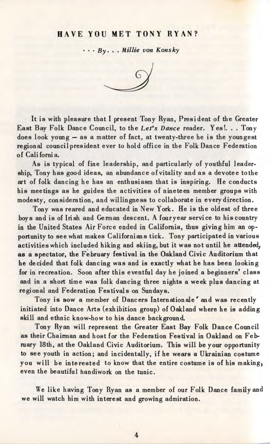## HAVE YOU MET TONY RYAN?

• • • *By. .* . *Millie von Konsky*



It is with pleasure that I present Tony Ryan, President of the Greater East Bay Folk Dance Council, to the *Let's Dance* reader. Yes!. . . Tony does look young — as a matter of fact, at twenty-three he is the youngest regional council president ever to hold office in the Folk Dance Federation of California.

As is typical of fine leadership, and particularly of youthful leadership, Tony has good ideas, an abundance of vitality and as a devotee tothe art of folk dancing he has an enthusiasm that is inspiring. He conducts his meetings as he guides the activities of nineteen member groups with modesty, consideration, and willingness to collaborate in every direction.

Tony was reared and educated in New York. He is the oldest of three boys and is of Irish and German descent. A fouryear service to his country in the United States Air Force ended in California, thus giving him an opportunity to see what makes Californians tick. Tony participated in various activities which included hiking and skiing, but it was not until he attended, as a spectator, the February festival in the Oakland Civic Auditorium that he decided that folk dancing was and is exactly what he has been looking for in recreation. Soon after this eventful day he joined a beginners' class and in a short time was folk dancing three nights a week plus dancing at regional and Federation Festivals on Sundays.

Tony is now a member of Dancers Internationale' and was recently initiated into Dance Arts (exhibition group) of Oakland where he is adding skill and ethnic know-how to his dance background.

Tony Ryan will represent the Greater East Bay Folk Dance Council as their Chairman and host for the Federation Festival in Oakland on February 18th, at the Oakland Civic Auditorium. This will be your opportunity to see youth in action; and incidentally, if he wears a Ukrainian costume you will be interested to know that the entire costume is of his making, even the beautiful handiwork on the tunic.

We like having Tony Ryan as a member of our Folk Dance family and we will watch him with interest and growing admiration.